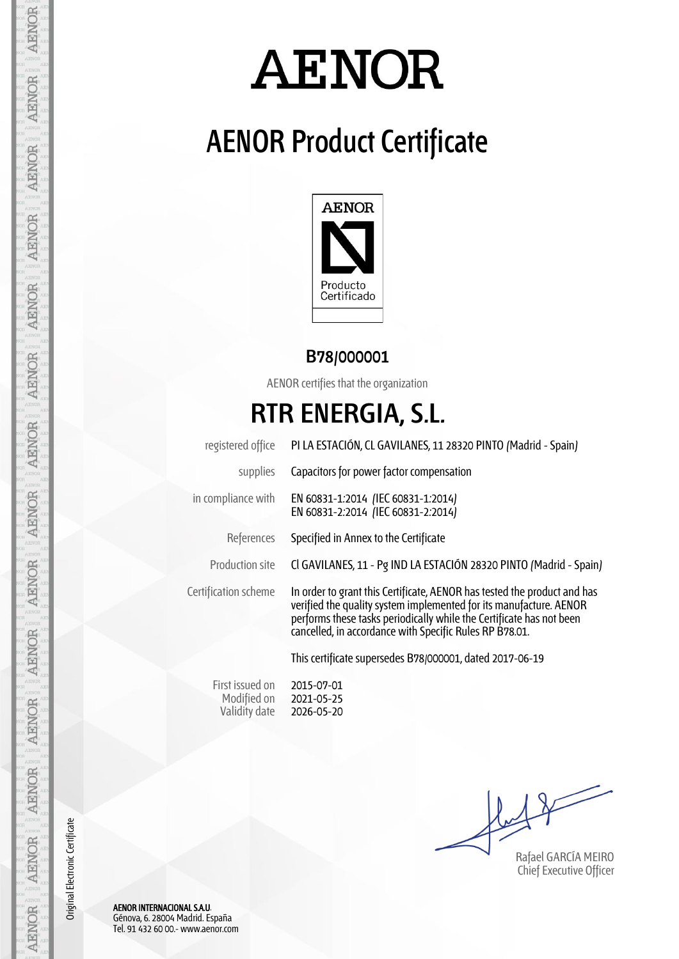# **AENOR**

## **AENOR Product Certificate**



#### **B78/000001**

AENOR certifies that the organization

### **RTR ENERGIA, S.L.**

| registered office    | PI LA ESTACIÓN, CL GAVILANES, 11 28320 PINTO (Madrid - Spain)                                                                                                                                                                                                                     |  |  |  |  |
|----------------------|-----------------------------------------------------------------------------------------------------------------------------------------------------------------------------------------------------------------------------------------------------------------------------------|--|--|--|--|
| supplies             | Capacitors for power factor compensation                                                                                                                                                                                                                                          |  |  |  |  |
| in compliance with   | EN 60831-1:2014 (IEC 60831-1:2014)<br>EN 60831-2:2014 (IEC 60831-2:2014)                                                                                                                                                                                                          |  |  |  |  |
| References           | Specified in Annex to the Certificate                                                                                                                                                                                                                                             |  |  |  |  |
| Production site      | Cl GAVILANES, 11 - Pg IND LA ESTACIÓN 28320 PINTO (Madrid - Spain)                                                                                                                                                                                                                |  |  |  |  |
| Certification scheme | In order to grant this Certificate, AENOR has tested the product and has<br>verified the quality system implemented for its manufacture. AENOR<br>performs these tasks periodically while the Certificate has not been<br>cancelled, in accordance with Specific Rules RP B78.01. |  |  |  |  |
|                      | This certificate supersedes B78/000001, dated 2017-06-19                                                                                                                                                                                                                          |  |  |  |  |

First issued on Modified on Validity date 2015-07-01 2021-05-25 2026-05-20

Rafael GARCÍA MEIRO Chief Executive Officer

AENOR INTERNACIONAL S.A.U. Génova, 6. 28004 Madrid. España Tel. 91 432 60 00.- www.aenor.com

Original Electronic Certificate

Original Electronic Certificate